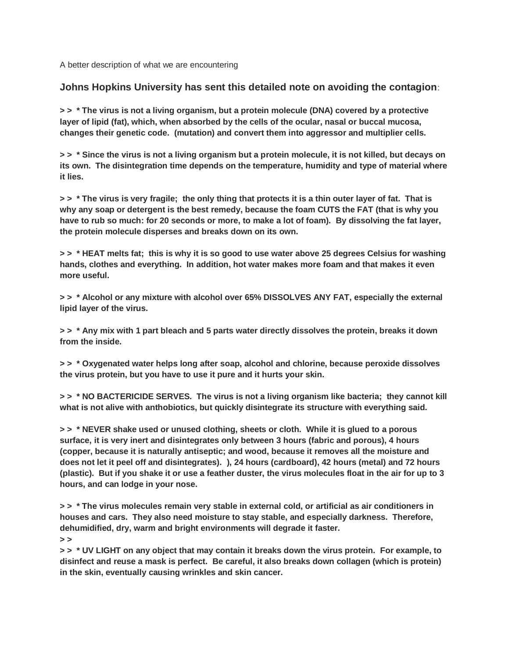A better description of what we are encountering

## **Johns Hopkins University has sent this detailed note on avoiding the contagion**:

**> > \* The virus is not a living organism, but a protein molecule (DNA) covered by a protective layer of lipid (fat), which, when absorbed by the cells of the ocular, nasal or buccal mucosa, changes their genetic code. (mutation) and convert them into aggressor and multiplier cells.**

**> > \* Since the virus is not a living organism but a protein molecule, it is not killed, but decays on its own. The disintegration time depends on the temperature, humidity and type of material where it lies.**

**> > \* The virus is very fragile; the only thing that protects it is a thin outer layer of fat. That is why any soap or detergent is the best remedy, because the foam CUTS the FAT (that is why you have to rub so much: for 20 seconds or more, to make a lot of foam). By dissolving the fat layer, the protein molecule disperses and breaks down on its own.**

**> > \* HEAT melts fat; this is why it is so good to use water above 25 degrees Celsius for washing hands, clothes and everything. In addition, hot water makes more foam and that makes it even more useful.**

**> > \* Alcohol or any mixture with alcohol over 65% DISSOLVES ANY FAT, especially the external lipid layer of the virus.**

**> > \* Any mix with 1 part bleach and 5 parts water directly dissolves the protein, breaks it down from the inside.**

**> > \* Oxygenated water helps long after soap, alcohol and chlorine, because peroxide dissolves the virus protein, but you have to use it pure and it hurts your skin.**

**> > \* NO BACTERICIDE SERVES. The virus is not a living organism like bacteria; they cannot kill what is not alive with anthobiotics, but quickly disintegrate its structure with everything said.**

**> > \* NEVER shake used or unused clothing, sheets or cloth. While it is glued to a porous surface, it is very inert and disintegrates only between 3 hours (fabric and porous), 4 hours (copper, because it is naturally antiseptic; and wood, because it removes all the moisture and does not let it peel off and disintegrates). ), 24 hours (cardboard), 42 hours (metal) and 72 hours (plastic). But if you shake it or use a feather duster, the virus molecules float in the air for up to 3 hours, and can lodge in your nose.**

**> > \* The virus molecules remain very stable in external cold, or artificial as air conditioners in houses and cars. They also need moisture to stay stable, and especially darkness. Therefore, dehumidified, dry, warm and bright environments will degrade it faster. > >** 

**> > \* UV LIGHT on any object that may contain it breaks down the virus protein. For example, to disinfect and reuse a mask is perfect. Be careful, it also breaks down collagen (which is protein) in the skin, eventually causing wrinkles and skin cancer.**